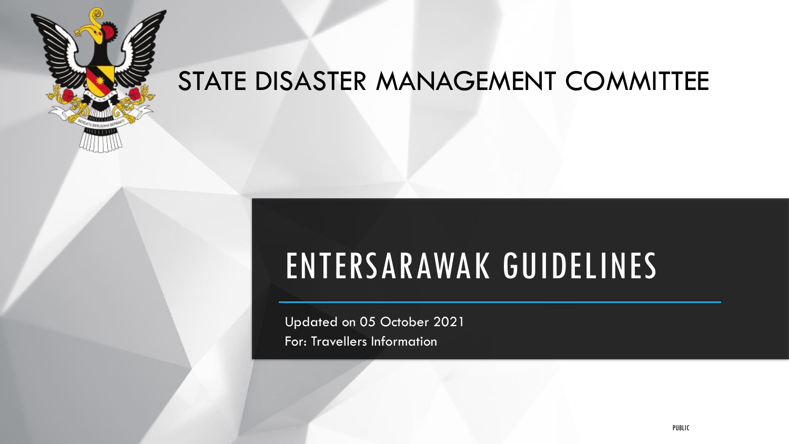

### STATE DISASTER MANAGEMENT COMMITTEE

### ENTERSARAWAK GUIDELINES

Updated on 05 October 2021 For: Travellers Information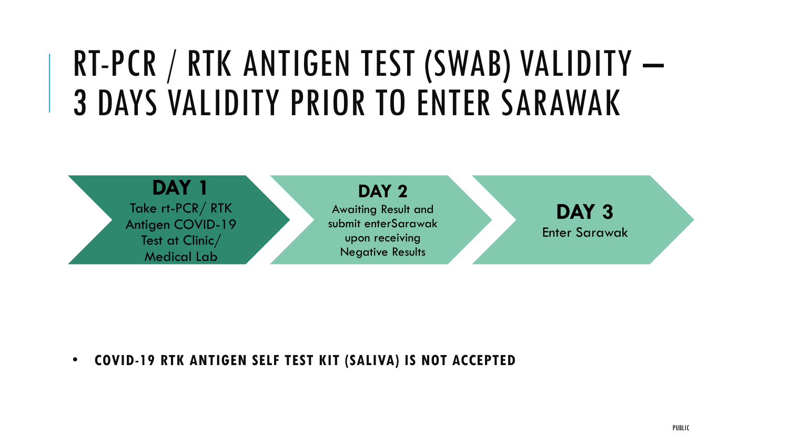### RT-PCR / RTK ANTIGEN TEST (SWAB) VALIDITY – 3 DAYS VALIDITY PRIOR TO ENTER SARAWAK



• **COVID-19 RTK ANTIGEN SELF TEST KIT (SALIVA) IS NOT ACCEPTED**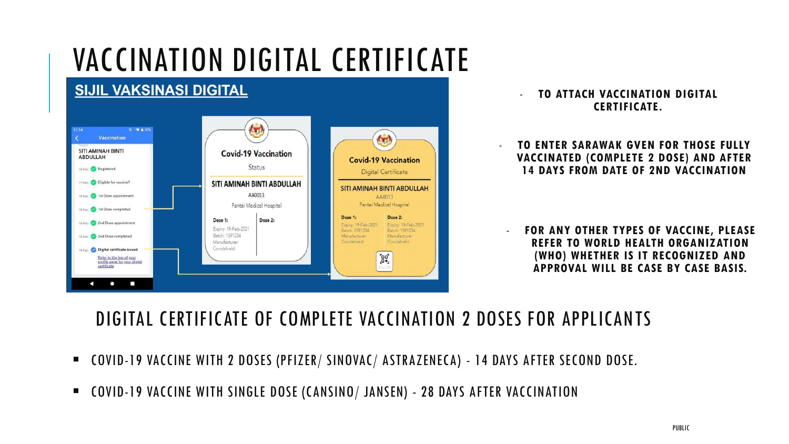### VACCINATION DIGITAL CERTIFICATE



- **TO ATTACH VACCINATION DIGITAL CERTIFICATE.**

- **TO ENTER SARAWAK GVEN FOR THOSE FULLY VACCINATED (COMPLETE 2 DOSE) AND AFTER 14 DAYS FROM DATE OF 2ND VACCINATION**

- **FOR ANY OTHER TYPES OF VACCINE, PLEASE REFER TO WORLD HEALTH ORGANIZATION (WHO) WHETHER IS IT RECOGNIZED AND APPROVAL WILL BE CASE BY CASE BASIS.**

### DIGITAL CERTIFICATE OF COMPLETE VACCINATION 2 DOSES FOR APPLICANTS

- COVID-19 VACCINE WITH 2 DOSES (PFIZER/ SINOVAC/ ASTRAZENECA) 14 DAYS AFTER SECOND DOSE.
- COVID-19 VACCINE WITH SINGLE DOSE (CANSINO/ JANSEN) 28 DAYS AFTER VACCINATION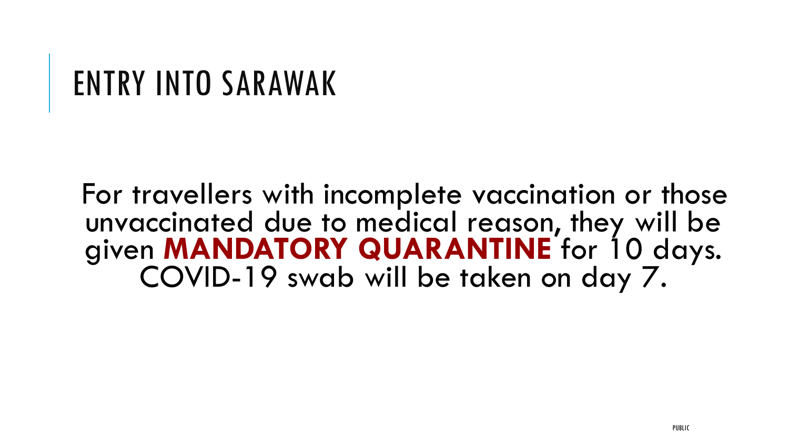### ENTRY INTO SARAWAK

For travellers with incomplete vaccination or those unvaccinated due to medical reason, they will be given **MANDATORY QUARANTINE** for 10 days. COVID-19 swab will be taken on day 7.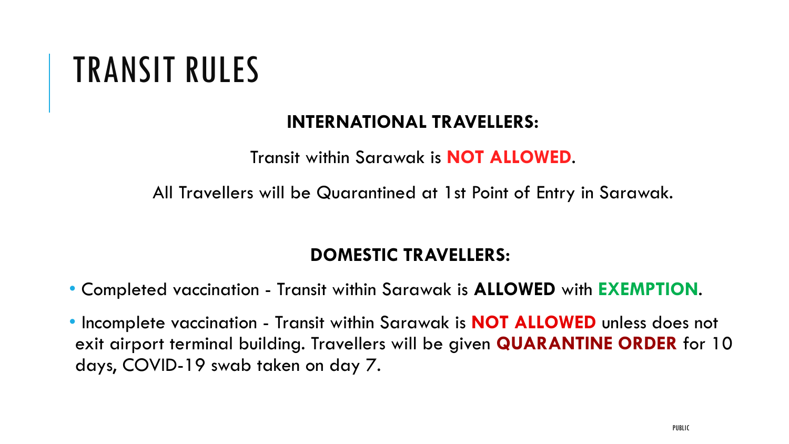### TRANSIT RULES

### **INTERNATIONAL TRAVELLERS:**

Transit within Sarawak is **NOT ALLOWED**.

All Travellers will be Quarantined at 1st Point of Entry in Sarawak.

### **DOMESTIC TRAVELLERS:**

- Completed vaccination Transit within Sarawak is **ALLOWED** with **EXEMPTION**.
- Incomplete vaccination Transit within Sarawak is **NOT ALLOWED** unless does not exit airport terminal building. Travellers will be given **QUARANTINE ORDER** for 10 days, COVID-19 swab taken on day 7.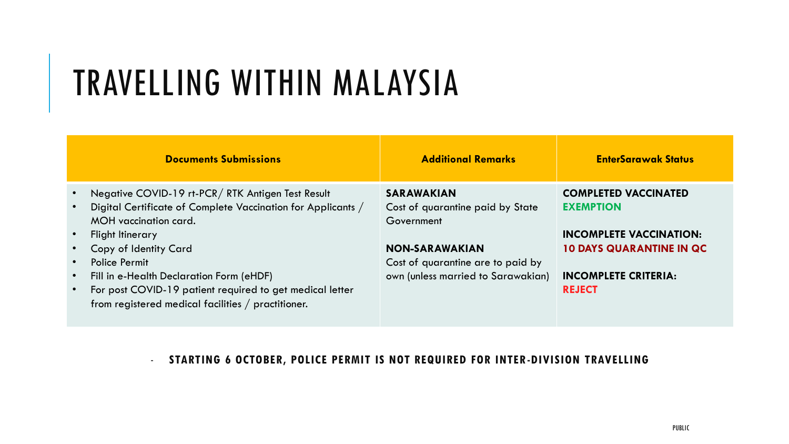# TRAVELLING WITHIN MALAYSIA

|           | <b>Documents Submissions</b>                                                                                   | <b>Additional Remarks</b>                      | <b>EnterSarawak Status</b>      |
|-----------|----------------------------------------------------------------------------------------------------------------|------------------------------------------------|---------------------------------|
| $\bullet$ | Negative COVID-19 rt-PCR/RTK Antigen Test Result                                                               | <b>SARAWAKIAN</b>                              | <b>COMPLETED VACCINATED</b>     |
| $\bullet$ | Digital Certificate of Complete Vaccination for Applicants /<br>MOH vaccination card.                          | Cost of quarantine paid by State<br>Government | <b>EXEMPTION</b>                |
| $\bullet$ | <b>Flight Itinerary</b>                                                                                        |                                                | <b>INCOMPLETE VACCINATION:</b>  |
|           | Copy of Identity Card                                                                                          | <b>NON-SARAWAKIAN</b>                          | <b>10 DAYS QUARANTINE IN QC</b> |
| $\bullet$ | <b>Police Permit</b>                                                                                           | Cost of quarantine are to paid by              |                                 |
| $\bullet$ | Fill in e-Health Declaration Form (eHDF)                                                                       | own (unless married to Sarawakian)             | <b>INCOMPLETE CRITERIA:</b>     |
| $\bullet$ | For post COVID-19 patient required to get medical letter<br>from registered medical facilities / practitioner. |                                                | <b>REJECT</b>                   |

#### - **STARTING 6 OCTOBER, POLICE PERMIT IS NOT REQUIRED FOR INTER-DIVISION TRAVELLING**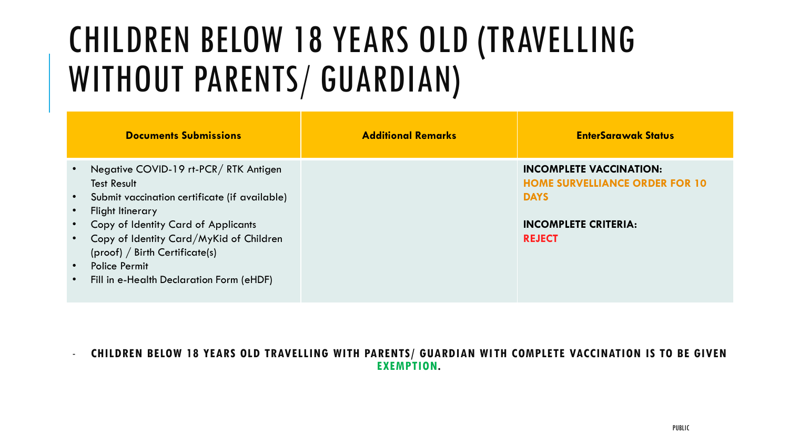### CHILDREN BELOW 18 YEARS OLD (TRAVELLING WITHOUT PARENTS/ GUARDIAN)

|                                     | <b>Documents Submissions</b>                                                                                                                                                                                                                                                                                             | <b>Additional Remarks</b> | <b>EnterSarawak Status</b>                                                                                                             |
|-------------------------------------|--------------------------------------------------------------------------------------------------------------------------------------------------------------------------------------------------------------------------------------------------------------------------------------------------------------------------|---------------------------|----------------------------------------------------------------------------------------------------------------------------------------|
| $\bullet$<br>$\bullet$<br>$\bullet$ | Negative COVID-19 rt-PCR/RTK Antigen<br><b>Test Result</b><br>Submit vaccination certificate (if available)<br>Flight Itinerary<br>Copy of Identity Card of Applicants<br>Copy of Identity Card/MyKid of Children<br>(proof) / Birth Centificance(s)<br><b>Police Permit</b><br>Fill in e-Health Declaration Form (eHDF) |                           | <b>INCOMPLETE VACCINATION:</b><br><b>HOME SURVELLIANCE ORDER FOR 10</b><br><b>DAYS</b><br><b>INCOMPLETE CRITERIA:</b><br><b>REJECT</b> |

- **CHILDREN BELOW 18 YEARS OLD TRAVELLING WITH PARENTS/ GUARDIAN WI TH COMPLETE VACCINATION IS TO BE GIVEN EXEMPTION.**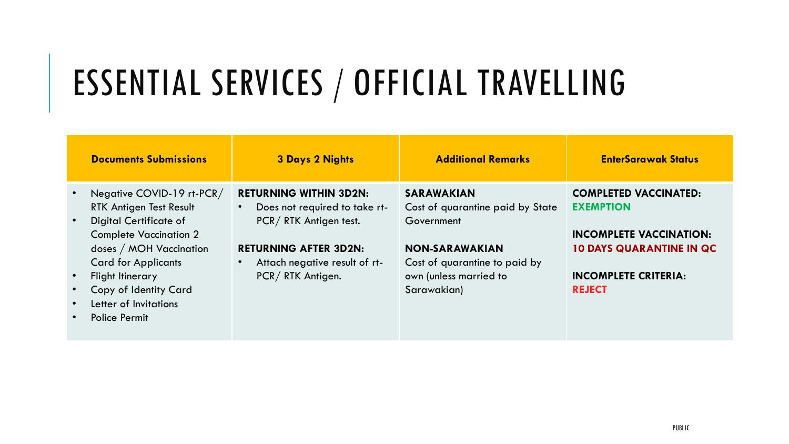# ESSENTIAL SERVICES / OFFICIAL TRAVELLING

| <b>Documents Submissions</b>                                                                                                                                                                                                                                                  | <b>3 Days 2 Nights</b>                                                                                                                                                                                 | <b>Additional Remarks</b>                                                                                                                                              | <b>EnterSarawak Status</b>                                                                                                                                            |
|-------------------------------------------------------------------------------------------------------------------------------------------------------------------------------------------------------------------------------------------------------------------------------|--------------------------------------------------------------------------------------------------------------------------------------------------------------------------------------------------------|------------------------------------------------------------------------------------------------------------------------------------------------------------------------|-----------------------------------------------------------------------------------------------------------------------------------------------------------------------|
| Negative COVID-19 rt-PCR/<br>RTK Antigen Test Result<br><b>Digital Certificate of</b><br><b>Complete Vaccination 2</b><br>doses / MOH Vaccination<br><b>Card for Applicants</b><br><b>Flight Itinerary</b><br>Copy of Identity Card<br>Letter of Invitations<br>Police Permit | <b>RETURNING WITHIN 3D2N:</b><br>Does not required to take rt-<br>$\bullet$<br>PCR/RTK Antigen test.<br><b>RETURNING AFTER 3D2N:</b><br>Attach negative result of rt-<br>$\bullet$<br>PCR/RTK Antigen. | <b>SARAWAKIAN</b><br>Cost of quarantine paid by State<br>Government<br><b>NON-SARAWAKIAN</b><br>Cost of quarantine to paid by<br>own (unless married to<br>Sarawakian) | <b>COMPLETED VACCINATED:</b><br><b>EXEMPTION</b><br><b>INCOMPLETE VACCINATION:</b><br><b>10 DAYS QUARANTINE IN QC</b><br><b>INCOMPLETE CRITERIA:</b><br><b>REJECT</b> |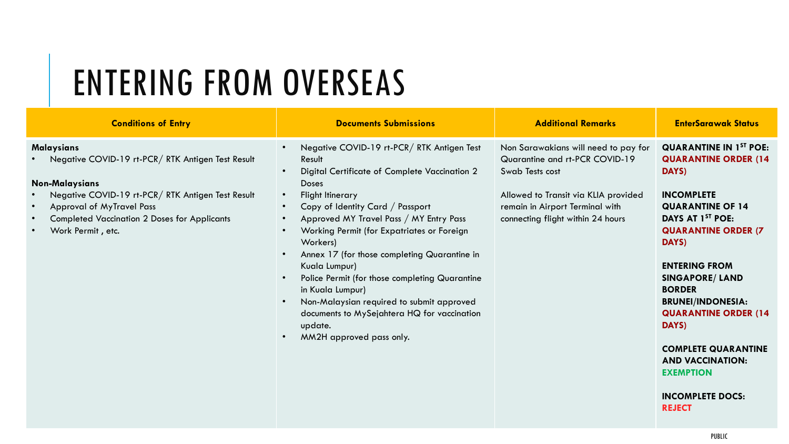# ENTERING FROM OVERSEAS

| <b>Conditions of Entry</b>                                                                                                                                                                                                                                                                                               | <b>Documents Submissions</b>                                                                                                                                                                                                                                                                                                                                                                                                                                                                                                                                                                                                                           | <b>Additional Remarks</b>                                                                                                                                                                                 | <b>EnterSarawak Status</b>                                                                                                                                                                                                                                                                                                                                                                                                                                    |
|--------------------------------------------------------------------------------------------------------------------------------------------------------------------------------------------------------------------------------------------------------------------------------------------------------------------------|--------------------------------------------------------------------------------------------------------------------------------------------------------------------------------------------------------------------------------------------------------------------------------------------------------------------------------------------------------------------------------------------------------------------------------------------------------------------------------------------------------------------------------------------------------------------------------------------------------------------------------------------------------|-----------------------------------------------------------------------------------------------------------------------------------------------------------------------------------------------------------|---------------------------------------------------------------------------------------------------------------------------------------------------------------------------------------------------------------------------------------------------------------------------------------------------------------------------------------------------------------------------------------------------------------------------------------------------------------|
| <b>Malaysians</b><br>Negative COVID-19 rt-PCR / RTK Antigen Test Result<br><b>Non-Malaysians</b><br>Negative COVID-19 rt-PCR/RTK Antigen Test Result<br>$\bullet$<br><b>Approval of MyTravel Pass</b><br>$\bullet$<br><b>Completed Vaccination 2 Doses for Applicants</b><br>$\bullet$<br>Work Permit, etc.<br>$\bullet$ | Negative COVID-19 rt-PCR/RTK Antigen Test<br>$\bullet$<br>Result<br>Digital Certificate of Complete Vaccination 2<br>$\bullet$<br><b>Doses</b><br>Flight Itinerary<br>$\bullet$<br>Copy of Identity Card / Passport<br>Approved MY Travel Pass / MY Entry Pass<br>$\bullet$<br>Working Permit (for Expatriates or Foreign<br>Workers)<br>Annex 17 (for those completing Quarantine in<br>$\bullet$<br>Kuala Lumpur)<br>Police Permit (for those completing Quarantine<br>$\bullet$<br>in Kuala Lumpur)<br>Non-Malaysian required to submit approved<br>$\bullet$<br>documents to MySejahtera HQ for vaccination<br>update.<br>MM2H approved pass only. | Non Sarawakians will need to pay for<br>Quarantine and rt-PCR COVID-19<br>Swab Tests cost<br>Allowed to Transit via KLIA provided<br>remain in Airport Terminal with<br>connecting flight within 24 hours | <b>QUARANTINE IN 1ST POE:</b><br><b>QUARANTINE ORDER (14</b><br>DAYS)<br><b>INCOMPLETE</b><br><b>QUARANTINE OF 14</b><br>DAYS AT 1 <sup>ST</sup> POE:<br><b>QUARANTINE ORDER (7)</b><br>DAYS)<br><b>ENTERING FROM</b><br><b>SINGAPORE/ LAND</b><br><b>BORDER</b><br><b>BRUNEI/INDONESIA:</b><br><b>QUARANTINE ORDER (14</b><br>DAYS)<br><b>COMPLETE QUARANTINE</b><br><b>AND VACCINATION:</b><br><b>EXEMPTION</b><br><b>INCOMPLETE DOCS:</b><br><b>REJECT</b> |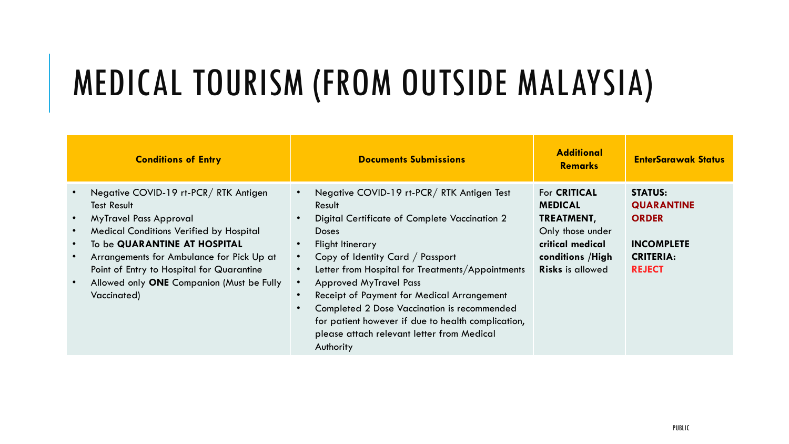## MEDICAL TOURISM (FROM OUTSIDE MALAYSIA)

| <b>Conditions of Entry</b>                                                                                                                                                                                                                                                                                                                                    | <b>Documents Submissions</b>                                                                                                                                                                                                                                                                                                                                                                                                                                                    | <b>Additional</b><br><b>Remarks</b>                                                                                                         | <b>EnterSarawak Status</b>                                                                                    |
|---------------------------------------------------------------------------------------------------------------------------------------------------------------------------------------------------------------------------------------------------------------------------------------------------------------------------------------------------------------|---------------------------------------------------------------------------------------------------------------------------------------------------------------------------------------------------------------------------------------------------------------------------------------------------------------------------------------------------------------------------------------------------------------------------------------------------------------------------------|---------------------------------------------------------------------------------------------------------------------------------------------|---------------------------------------------------------------------------------------------------------------|
| Negative COVID-19 rt-PCR/RTK Antigen<br><b>Test Result</b><br><b>MyTravel Pass Approval</b><br><b>Medical Conditions Verified by Hospital</b><br>$\bullet$<br>To be QUARANTINE AT HOSPITAL<br>$\bullet$<br>Arrangements for Ambulance for Pick Up at<br>Point of Entry to Hospital for Quarantine<br>Allowed only ONE Companion (Must be Fully<br>Vaccinated) | Negative COVID-19 rt-PCR/RTK Antigen Test<br>Result<br>Digital Certificate of Complete Vaccination 2<br><b>Doses</b><br>Flight Itinerary<br>Copy of Identity Card / Passport<br>Letter from Hospital for Treatments/Appointments<br><b>Approved MyTravel Pass</b><br>Receipt of Payment for Medical Arrangement<br>Completed 2 Dose Vaccination is recommended<br>for patient however if due to health complication,<br>please attach relevant letter from Medical<br>Authority | For <b>CRITICAL</b><br><b>MEDICAL</b><br>TREATMENT,<br>Only those under<br>critical medical<br>conditions / High<br><b>Risks is allowed</b> | <b>STATUS:</b><br><b>QUARANTINE</b><br><b>ORDER</b><br><b>INCOMPLETE</b><br><b>CRITERIA:</b><br><b>REJECT</b> |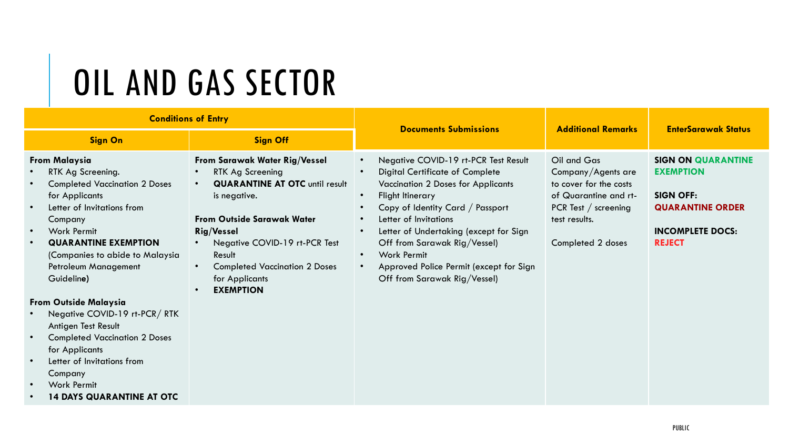# OIL AND GAS SECTOR

| <b>Conditions of Entry</b>                                                                                                                                                                                                                                                                                 |                                                                                                                                                                                                                                                                                                            | <b>Documents Submissions</b>                                                                                                                                                                                                                                                                                                                                                                                                                                                       | <b>Additional Remarks</b>                                                                                                                            | <b>EnterSarawak Status</b>                                                                                                               |
|------------------------------------------------------------------------------------------------------------------------------------------------------------------------------------------------------------------------------------------------------------------------------------------------------------|------------------------------------------------------------------------------------------------------------------------------------------------------------------------------------------------------------------------------------------------------------------------------------------------------------|------------------------------------------------------------------------------------------------------------------------------------------------------------------------------------------------------------------------------------------------------------------------------------------------------------------------------------------------------------------------------------------------------------------------------------------------------------------------------------|------------------------------------------------------------------------------------------------------------------------------------------------------|------------------------------------------------------------------------------------------------------------------------------------------|
| <b>Sign On</b><br><b>Sign Off</b>                                                                                                                                                                                                                                                                          |                                                                                                                                                                                                                                                                                                            |                                                                                                                                                                                                                                                                                                                                                                                                                                                                                    |                                                                                                                                                      |                                                                                                                                          |
| <b>From Malaysia</b><br>RTK Ag Screening.<br><b>Completed Vaccination 2 Doses</b><br>for Applicants<br>Letter of Invitations from<br>$\bullet$<br>Company<br>Work Permit<br>$\bullet$<br><b>QUARANTINE EXEMPTION</b><br>$\bullet$<br>(Companies to abide to Malaysia<br>Petroleum Management<br>Guideline) | From Sarawak Water Rig/Vessel<br>RTK Ag Screening<br><b>QUARANTINE AT OTC until result</b><br>$\bullet$<br>is negative.<br><b>From Outside Sarawak Water</b><br><b>Rig/Vessel</b><br>Negative COVID-19 rt-PCR Test<br>Result<br><b>Completed Vaccination 2 Doses</b><br>for Applicants<br><b>EXEMPTION</b> | Negative COVID-19 rt-PCR Test Result<br>$\bullet$<br><b>Digital Certificate of Complete</b><br>$\bullet$<br><b>Vaccination 2 Doses for Applicants</b><br>Flight Itinerary<br>$\bullet$<br>Copy of Identity Card / Passport<br>Letter of Invitations<br>$\bullet$<br>Letter of Undertaking (except for Sign<br>$\bullet$<br>Off from Sarawak Rig/Vessel)<br><b>Work Permit</b><br>$\bullet$<br>Approved Police Permit (except for Sign<br>$\bullet$<br>Off from Sarawak Rig/Vessel) | Oil and Gas<br>Company/Agents are<br>to cover for the costs<br>of Quarantine and rt-<br>PCR Test $/$ screening<br>test results.<br>Completed 2 doses | <b>SIGN ON QUARANTINE</b><br><b>EXEMPTION</b><br><b>SIGN OFF:</b><br><b>QUARANTINE ORDER</b><br><b>INCOMPLETE DOCS:</b><br><b>REJECT</b> |
| <b>From Outside Malaysia</b><br>Negative COVID-19 rt-PCR/RTK<br>Antigen Test Result<br><b>Completed Vaccination 2 Doses</b><br>for Applicants<br>Letter of Invitations from<br>$\bullet$<br>Company<br><b>Work Permit</b><br>$\bullet$<br><b>14 DAYS QUARANTINE AT OTC</b>                                 |                                                                                                                                                                                                                                                                                                            |                                                                                                                                                                                                                                                                                                                                                                                                                                                                                    |                                                                                                                                                      |                                                                                                                                          |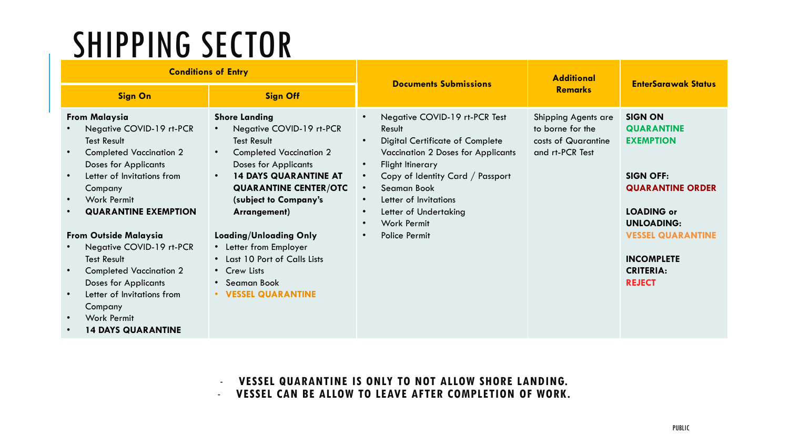### SHIPPING SECTOR

| <b>Conditions of Entry</b>                                                                                                                                                                                                                                                                                                                                                                                                                                                    |                                                                                                                                                                                                                                                                                                                                                                                                                   | <b>Documents Submissions</b>                                                                                                                                                                                                                                                                                                                                                                                        | <b>Additional</b>                                                                 | <b>EnterSarawak Status</b>                                                                                                                                                                                                             |
|-------------------------------------------------------------------------------------------------------------------------------------------------------------------------------------------------------------------------------------------------------------------------------------------------------------------------------------------------------------------------------------------------------------------------------------------------------------------------------|-------------------------------------------------------------------------------------------------------------------------------------------------------------------------------------------------------------------------------------------------------------------------------------------------------------------------------------------------------------------------------------------------------------------|---------------------------------------------------------------------------------------------------------------------------------------------------------------------------------------------------------------------------------------------------------------------------------------------------------------------------------------------------------------------------------------------------------------------|-----------------------------------------------------------------------------------|----------------------------------------------------------------------------------------------------------------------------------------------------------------------------------------------------------------------------------------|
| <b>Sign On</b>                                                                                                                                                                                                                                                                                                                                                                                                                                                                | <b>Sign Off</b>                                                                                                                                                                                                                                                                                                                                                                                                   |                                                                                                                                                                                                                                                                                                                                                                                                                     | <b>Remarks</b>                                                                    |                                                                                                                                                                                                                                        |
| <b>From Malaysia</b><br>Negative COVID-19 rt-PCR<br><b>Test Result</b><br><b>Completed Vaccination 2</b><br><b>Doses for Applicants</b><br>Letter of Invitations from<br>Company<br><b>Work Permit</b><br><b>QUARANTINE EXEMPTION</b><br><b>From Outside Malaysia</b><br>Negative COVID-19 rt-PCR<br><b>Test Result</b><br><b>Completed Vaccination 2</b><br><b>Doses for Applicants</b><br>Letter of Invitations from<br>Company<br>Work Permit<br><b>14 DAYS QUARANTINE</b> | <b>Shore Landing</b><br>Negative COVID-19 rt-PCR<br><b>Test Result</b><br><b>Completed Vaccination 2</b><br>$\bullet$<br><b>Doses for Applicants</b><br><b>14 DAYS QUARANTINE AT</b><br><b>QUARANTINE CENTER/OTC</b><br>(subject to Company's<br>Arrangement)<br><b>Loading/Unloading Only</b><br>• Letter from Employer<br>• Last 10 Port of Calls Lists<br>• Crew Lists<br>• Seaman Book<br>• VESSEL QUARANTINE | Negative COVID-19 rt-PCR Test<br>$\bullet$<br>Result<br><b>Digital Certificate of Complete</b><br>$\bullet$<br><b>Vaccination 2 Doses for Applicants</b><br>Flight Itinerary<br>$\bullet$<br>Copy of Identity Card / Passport<br>$\bullet$<br>Seaman Book<br>$\bullet$<br>Letter of Invitations<br>$\bullet$<br>Letter of Undertaking<br>$\bullet$<br><b>Work Permit</b><br>$\bullet$<br>Police Permit<br>$\bullet$ | Shipping Agents are<br>to borne for the<br>costs of Quarantine<br>and rt-PCR Test | <b>SIGN ON</b><br><b>QUARANTINE</b><br><b>EXEMPTION</b><br><b>SIGN OFF:</b><br><b>QUARANTINE ORDER</b><br><b>LOADING or</b><br><b>UNLOADING:</b><br><b>VESSEL QUARANTINE</b><br><b>INCOMPLETE</b><br><b>CRITERIA:</b><br><b>REJECT</b> |

- **VESSEL QUARANTINE IS ONLY TO NOT ALLOW SHORE LANDING.** - **VESSEL CAN BE ALLOW TO LEAVE AFTER COMPLETION OF WORK.**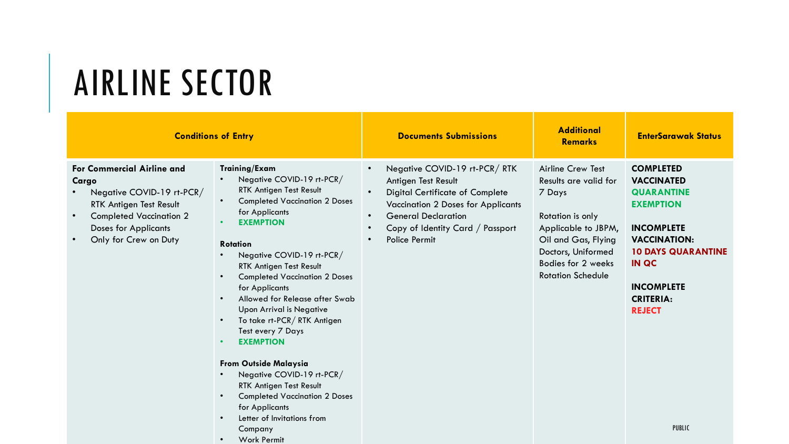### AIRLINE SECTOR

• Work Permit

|                                                                                                                                                                                              | <b>Conditions of Entry</b>                                                                                                                                                                                                                                                                                                                                                                                                                                                                                                                                                                                                      | <b>Documents Submissions</b>                                                                                                                                                                                                                                                                   | <b>Additional</b><br><b>Remarks</b>                                                                                                                                                                   | <b>EnterSarawak Status</b>                                                                                                                                                                                                                         |
|----------------------------------------------------------------------------------------------------------------------------------------------------------------------------------------------|---------------------------------------------------------------------------------------------------------------------------------------------------------------------------------------------------------------------------------------------------------------------------------------------------------------------------------------------------------------------------------------------------------------------------------------------------------------------------------------------------------------------------------------------------------------------------------------------------------------------------------|------------------------------------------------------------------------------------------------------------------------------------------------------------------------------------------------------------------------------------------------------------------------------------------------|-------------------------------------------------------------------------------------------------------------------------------------------------------------------------------------------------------|----------------------------------------------------------------------------------------------------------------------------------------------------------------------------------------------------------------------------------------------------|
| <b>For Commercial Airline and</b><br>Cargo<br>Negative COVID-19 rt-PCR/<br>RTK Antigen Test Result<br><b>Completed Vaccination 2</b><br><b>Doses for Applicants</b><br>Only for Crew on Duty | Training/Exam<br>Negative COVID-19 rt-PCR/<br>RTK Antigen Test Result<br><b>Completed Vaccination 2 Doses</b><br>for Applicants<br><b>EXEMPTION</b><br><b>Rotation</b><br>Negative COVID-19 rt-PCR/<br>RTK Antigen Test Result<br><b>Completed Vaccination 2 Doses</b><br>for Applicants<br>Allowed for Release after Swab<br><b>Upon Arrival is Negative</b><br>To take rt-PCR/RTK Antigen<br>Test every 7 Days<br><b>EXEMPTION</b><br><b>From Outside Malaysia</b><br>Negative COVID-19 rt-PCR/<br>RTK Antigen Test Result<br><b>Completed Vaccination 2 Doses</b><br>for Applicants<br>Letter of Invitations from<br>Company | Negative COVID-19 rt-PCR/RTK<br>$\bullet$<br>Antigen Test Result<br><b>Digital Certificate of Complete</b><br>$\bullet$<br>Vaccination 2 Doses for Applicants<br><b>General Declaration</b><br>$\bullet$<br>Copy of Identity Card / Passport<br>$\bullet$<br><b>Police Permit</b><br>$\bullet$ | <b>Airline Crew Test</b><br>Results are valid for<br>7 Days<br>Rotation is only<br>Applicable to JBPM,<br>Oil and Gas, Flying<br>Doctors, Uniformed<br>Bodies for 2 weeks<br><b>Rotation Schedule</b> | <b>COMPLETED</b><br><b>VACCINATED</b><br><b>QUARANTINE</b><br><b>EXEMPTION</b><br><b>INCOMPLETE</b><br><b>VACCINATION:</b><br><b>10 DAYS QUARANTINE</b><br><b>IN QC</b><br><b>INCOMPLETE</b><br><b>CRITERIA:</b><br><b>REJECT</b><br><b>PUBLIC</b> |